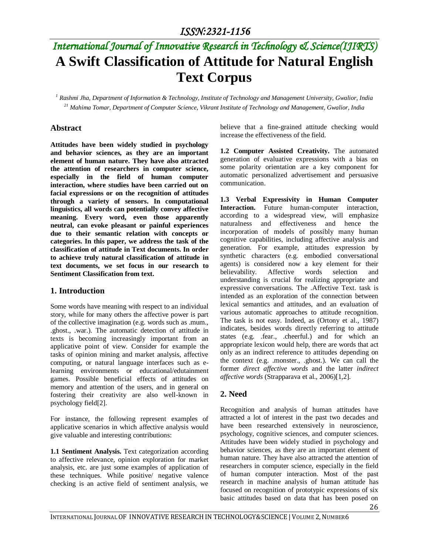# *International Journal of Innovative Research in Technology & Science(IJIRTS)* **A Swift Classification of Attitude for Natural English Text Corpus**

*<sup>1</sup> Rashmi Jha, Department of Information & Technology, Institute of Technology and Management University, Gwalior, India <sup>21</sup> Mahima Tomar, Department of Computer Science, Vikrant Institute of Technology and Management, Gwalior, India*

### **Abstract**

**Attitudes have been widely studied in psychology and behavior sciences, as they are an important element of human nature. They have also attracted the attention of researchers in computer science, especially in the field of human computer interaction, where studies have been carried out on facial expressions or on the recognition of attitudes through a variety of sensors. In computational linguistics, all words can potentially convey affective meaning. Every word, even those apparently neutral, can evoke pleasant or painful experiences due to their semantic relation with concepts or categories. In this paper, we address the task of the classification of attitude in Text documents. In order to achieve truly natural classification of attitude in text documents, we set focus in our research to Sentiment Classification from text.**

### **1. Introduction**

Some words have meaning with respect to an individual story, while for many others the affective power is part of the collective imagination (e.g. words such as .mum., .ghost., .war.). The automatic detection of attitude in texts is becoming increasingly important from an applicative point of view. Consider for example the tasks of opinion mining and market analysis, affective computing, or natural language interfaces such as elearning environments or educational/edutainment games. Possible beneficial effects of attitudes on memory and attention of the users, and in general on fostering their creativity are also well-known in psychology field[2].

For instance, the following represent examples of applicative scenarios in which affective analysis would give valuable and interesting contributions:

**1.1 Sentiment Analysis.** Text categorization according to affective relevance, opinion exploration for market analysis, etc. are just some examples of application of these techniques. While positive/ negative valence checking is an active field of sentiment analysis, we

believe that a fine-grained attitude checking would increase the effectiveness of the field.

**1.2 Computer Assisted Creativity.** The automated generation of evaluative expressions with a bias on some polarity orientation are a key component for automatic personalized advertisement and persuasive communication.

**1.3 Verbal Expressivity in Human Computer Interaction.** Future human-computer interaction, according to a widespread view, will emphasize naturalness and effectiveness and hence the incorporation of models of possibly many human cognitive capabilities, including affective analysis and generation. For example, attitudes expression by synthetic characters (e.g. embodied conversational agents) is considered now a key element for their believability. Affective words selection and understanding is crucial for realizing appropriate and expressive conversations. The .Affective Text. task is intended as an exploration of the connection between lexical semantics and attitudes, and an evaluation of various automatic approaches to attitude recognition. The task is not easy. Indeed, as (Ortony et al., 1987) indicates, besides words directly referring to attitude states (e.g. .fear., .cheerful.) and for which an appropriate lexicon would help, there are words that act only as an indirect reference to attitudes depending on the context (e.g. .monster., .ghost.). We can call the former *direct affective words* and the latter *indirect affective words* (Strapparava et al., 2006)[1,2].

### **2. Need**

Recognition and analysis of human attitudes have attracted a lot of interest in the past two decades and have been researched extensively in neuroscience, psychology, cognitive sciences, and computer sciences. Attitudes have been widely studied in psychology and behavior sciences, as they are an important element of human nature. They have also attracted the attention of researchers in computer science, especially in the field of human computer interaction. Most of the past research in machine analysis of human attitude has focused on recognition of prototypic expressions of six basic attitudes based on data that has been posed on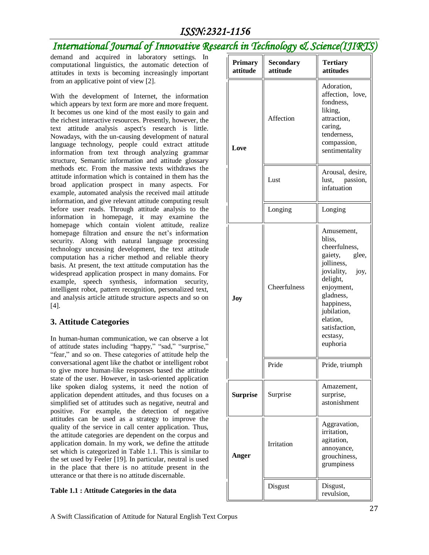# *International Journal of Innovative Research in Technology & Science(IJ1*

 $\mathsf{H}$ 

demand and acquired in laboratory settings. In computational linguistics, the automatic detection of attitudes in texts is becoming increasingly important from an applicative point of view [2].

With the development of Internet, the information which appears by text form are more and more frequent. It becomes us one kind of the most easily to gain and the richest interactive resources. Presently, however, the text attitude analysis aspect's research is little. Nowadays, with the un-causing development of natural language technology, people could extract attitude information from text through analyzing grammar structure, Semantic information and attitude glossary methods etc. From the massive texts withdraws the attitude information which is contained in them has the broad application prospect in many aspects. For example, automated analysis the received mail attitude information, and give relevant attitude computing result before user reads. Through attitude analysis to the information in homepage, it may examine the homepage which contain violent attitude, realize homepage filtration and ensure the net's information security. Along with natural language processing technology unceasing development, the text attitude computation has a richer method and reliable theory basis. At present, the text attitude computation has the widespread application prospect in many domains. For example, speech synthesis, information security, intelligent robot, pattern recognition, personalized text, and analysis article attitude structure aspects and so on [4].

## **3. Attitude Categories**

In human-human communication, we can observe a lot of attitude states including "happy," "sad," "surprise," "fear," and so on. These categories of attitude help the conversational agent like the chatbot or intelligent robot to give more human-like responses based the attitude state of the user. However, in task-oriented application like spoken dialog systems, it need the notion of application dependent attitudes, and thus focuses on a simplified set of attitudes such as negative, neutral and positive. For example, the detection of negative attitudes can be used as a strategy to improve the quality of the service in call center application. Thus, the attitude categories are dependent on the corpus and application domain. In my work, we define the attitude set which is categorized in Table 1.1. This is similar to the set used by Feeler [19]. In particular, neutral is used in the place that there is no attitude present in the utterance or that there is no attitude discernable.

#### **Table 1.1 : Attitude Categories in the data**

| Primary<br>attitude | <b>Secondary</b><br>attitude | <b>Tertiary</b><br>attitudes                                                                                                                                                                                           |  |
|---------------------|------------------------------|------------------------------------------------------------------------------------------------------------------------------------------------------------------------------------------------------------------------|--|
| Love                | Affection                    | Adoration,<br>affection, love,<br>fondness,<br>liking,<br>attraction,<br>caring,<br>tenderness,<br>compassion,<br>sentimentality                                                                                       |  |
|                     | Lust                         | Arousal, desire,<br>lust, passion,<br>infatuation                                                                                                                                                                      |  |
|                     | Longing                      | Longing                                                                                                                                                                                                                |  |
| Joy                 | Cheerfulness                 | Amusement,<br>bliss,<br>cheerfulness,<br>glee,<br>gaiety,<br>jolliness,<br>joviality,<br>joy,<br>delight,<br>enjoyment,<br>gladness,<br>happiness,<br>jubilation,<br>elation,<br>satisfaction,<br>ecstasy,<br>euphoria |  |
|                     | Pride                        | Pride, triumph                                                                                                                                                                                                         |  |
| <b>Surprise</b>     | Surprise                     | Amazement,<br>surprise,<br>astonishment                                                                                                                                                                                |  |
| Anger               | Irritation                   | Aggravation,<br>irritation,<br>agitation,<br>annoyance,<br>grouchiness,<br>grumpiness                                                                                                                                  |  |
|                     | Disgust                      | Disgust,<br>revulsion,                                                                                                                                                                                                 |  |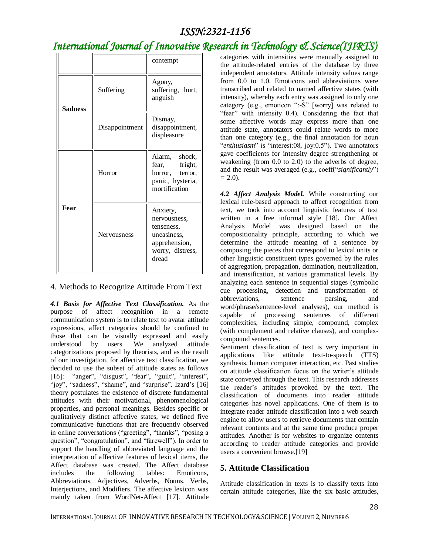# *International Journal of Innovative Research in Technology & Science(IJIRTS)*

|                |                    | contempt                                                                                            |  |
|----------------|--------------------|-----------------------------------------------------------------------------------------------------|--|
| <b>Sadness</b> | Suffering          | Agony,<br>suffering, hurt,<br>anguish                                                               |  |
|                | Disappointment     | Dismay,<br>disappointment,<br>displeasure                                                           |  |
| Fear           | Horror             | Alarm, shock,<br>fright,<br>fear,<br>horror, terror,<br>panic, hysteria,<br>mortification           |  |
|                | <b>Nervousness</b> | Anxiety,<br>nervousness,<br>tenseness,<br>uneasiness,<br>apprehension,<br>worry, distress,<br>dread |  |

### 4. Methods to Recognize Attitude From Text

*4.1 Basis for Affective Text Classification.* As the purpose of affect recognition in a remote communication system is to relate text to avatar attitude expressions, affect categories should be confined to those that can be visually expressed and easily understood by users. We analyzed attitude categorizations proposed by theorists, and as the result of our investigation, for affective text classification, we decided to use the subset of attitude states as follows [16]: "anger", "disgust", "fear", "guilt", "interest", "joy", "sadness", "shame", and "surprise". Izard's [16] theory postulates the existence of discrete fundamental attitudes with their motivational, phenomenological properties, and personal meanings. Besides specific or qualitatively distinct affective states, we defined five communicative functions that are frequently observed in online conversations ("greeting", "thanks", "posing a question", "congratulation", and "farewell"). In order to support the handling of abbreviated language and the interpretation of affective features of lexical items, the Affect database was created. The Affect database includes the following tables: Emoticons, Abbreviations, Adjectives, Adverbs, Nouns, Verbs, Interjections, and Modifiers. The affective lexicon was mainly taken from WordNet-Affect [17]. Attitude

categories with intensities were manually assigned to the attitude-related entries of the database by three independent annotators. Attitude intensity values range from 0.0 to 1.0. Emoticons and abbreviations were transcribed and related to named affective states (with intensity), whereby each entry was assigned to only one category (e.g., emoticon ":-S" [worry] was related to "fear" with intensity 0.4). Considering the fact that some affective words may express more than one attitude state, annotators could relate words to more than one category (e.g., the final annotation for noun "*enthusiasm*" is "interest:08, joy:0.5"). Two annotators gave coefficients for intensity degree strengthening or weakening (from 0.0 to 2.0) to the adverbs of degree, and the result was averaged (e.g., coeff("*significantly*") *=* 2.0).

*4.2 Affect Analysis Model.* While constructing our lexical rule-based approach to affect recognition from text, we took into account linguistic features of text written in a free informal style [18]. Our Affect Analysis Model was designed based on the compositionality principle, according to which we determine the attitude meaning of a sentence by composing the pieces that correspond to lexical units or other linguistic constituent types governed by the rules of aggregation, propagation, domination, neutralization, and intensification, at various grammatical levels. By analyzing each sentence in sequential stages (symbolic cue processing, detection and transformation of abbreviations, sentence parsing, and word/phrase/sentence-level analyses), our method is capable of processing sentences of different complexities, including simple, compound, complex (with complement and relative clauses), and complexcompound sentences.

Sentiment classification of text is very important in applications like attitude text-to-speech (TTS) synthesis, human computer interaction, etc. Past studies on attitude classification focus on the writer's attitude state conveyed through the text. This research addresses the reader's attitudes provoked by the text. The classification of documents into reader attitude categories has novel applications. One of them is to integrate reader attitude classification into a web search engine to allow users to retrieve documents that contain relevant contents and at the same time produce proper attitudes. Another is for websites to organize contents according to reader attitude categories and provide users a convenient browse.[19]

## **5. Attitude Classification**

Attitude classification in texts is to classify texts into certain attitude categories, like the six basic attitudes,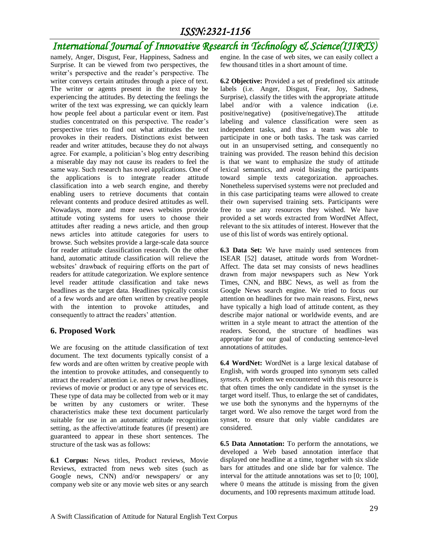# *International Journal of Innovative Research in Technology & Science(IJIRTS)*

namely, Anger, Disgust, Fear, Happiness, Sadness and Surprise. It can be viewed from two perspectives, the writer's perspective and the reader's perspective. The writer conveys certain attitudes through a piece of text. The writer or agents present in the text may be experiencing the attitudes. By detecting the feelings the writer of the text was expressing, we can quickly learn how people feel about a particular event or item. Past studies concentrated on this perspective. The reader's perspective tries to find out what attitudes the text provokes in their readers. Distinctions exist between reader and writer attitudes, because they do not always agree. For example, a politician's blog entry describing a miserable day may not cause its readers to feel the same way. Such research has novel applications. One of the applications is to integrate reader attitude classification into a web search engine, and thereby enabling users to retrieve documents that contain relevant contents and produce desired attitudes as well. Nowadays, more and more news websites provide attitude voting systems for users to choose their attitudes after reading a news article, and then group news articles into attitude categories for users to browse. Such websites provide a large-scale data source for reader attitude classification research. On the other hand, automatic attitude classification will relieve the websites' drawback of requiring efforts on the part of readers for attitude categorization. We explore sentence level reader attitude classification and take news headlines as the target data. Headlines typically consist of a few words and are often written by creative people with the intention to provoke attitudes, and consequently to attract the readers' attention.

#### **6. Proposed Work**

We are focusing on the attitude classification of text document. The text documents typically consist of a few words and are often written by creative people with the intention to provoke attitudes, and consequently to attract the readers' attention i.e. news or news headlines, reviews of movie or product or any type of services etc. These type of data may be collected from web or it may be written by any customers or writer. These characteristics make these text document particularly suitable for use in an automatic attitude recognition setting, as the affective/attitude features (if present) are guaranteed to appear in these short sentences. The structure of the task was as follows:

**6.1 Corpus:** News titles, Product reviews, Movie Reviews, extracted from news web sites (such as Google news, CNN) and/or newspapers/ or any company web site or any movie web sites or any search engine. In the case of web sites, we can easily collect a few thousand titles in a short amount of time.

**6.2 Objective:** Provided a set of predefined six attitude labels (i.e. Anger, Disgust, Fear, Joy, Sadness, Surprise), classify the titles with the appropriate attitude label and/or with a valence indication (i.e. positive/negative) (positive/negative).The attitude labeling and valence classification were seen as independent tasks, and thus a team was able to participate in one or both tasks. The task was carried out in an unsupervised setting, and consequently no training was provided. The reason behind this decision is that we want to emphasize the study of attitude lexical semantics, and avoid biasing the participants toward simple texts categorization. approaches. Nonetheless supervised systems were not precluded and in this case participating teams were allowed to create their own supervised training sets. Participants were free to use any resources they wished. We have provided a set words extracted from WordNet Affect, relevant to the six attitudes of interest. However that the use of this list of words was entirely optional.

**6.3 Data Set:** We have mainly used sentences from ISEAR [52] dataset, attitude words from Wordnet-Affect. The data set may consists of news headlines drawn from major newspapers such as New York Times, CNN, and BBC News, as well as from the Google News search engine. We tried to focus our attention on headlines for two main reasons. First, news have typically a high load of attitude content, as they describe major national or worldwide events, and are written in a style meant to attract the attention of the readers. Second, the structure of headlines was appropriate for our goal of conducting sentence-level annotations of attitudes.

**6.4 WordNet:** WordNet is a large lexical database of English, with words grouped into synonym sets called *synsets*. A problem we encountered with this resource is that often times the only candidate in the synset is the target word itself. Thus, to enlarge the set of candidates, we use both the synonyms and the hypernyms of the target word. We also remove the target word from the synset, to ensure that only viable candidates are considered.

**6.5 Data Annotation:** To perform the annotations, we developed a Web based annotation interface that displayed one headline at a time, together with six slide bars for attitudes and one slide bar for valence. The interval for the attitude annotations was set to [0; 100], where 0 means the attitude is missing from the given documents, and 100 represents maximum attitude load.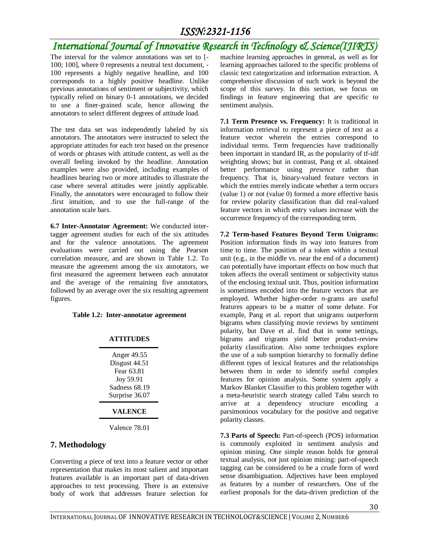# *International Journal of Innovative Research in Technology & Science(IJIRTS)*

The interval for the valence annotations was set to [- 100; 100], where 0 represents a neutral text document, - 100 represents a highly negative headline, and 100 corresponds to a highly positive headline. Unlike previous annotations of sentiment or subjectivity, which typically relied on binary 0-1 annotations, we decided to use a finer-grained scale, hence allowing the annotators to select different degrees of attitude load.

The test data set was independently labeled by six annotators. The annotators were instructed to select the appropriate attitudes for each text based on the presence of words or phrases with attitude content, as well as the overall feeling invoked by the headline. Annotation examples were also provided, including examples of headlines bearing two or more attitudes to illustrate the case where several attitudes were jointly applicable. Finally, the annotators were encouraged to follow their .first intuition, and to use the full-range of the annotation scale bars.

**6.7 Inter-Annotator Agreement:** We conducted intertagger agreement studies for each of the six attitudes and for the valence annotations. The agreement evaluations were carried out using the Pearson correlation measure, and are shown in Table 1.2. To measure the agreement among the six annotators, we first measured the agreement between each annotator and the average of the remaining five annotators, followed by an average over the six resulting agreement figures.

#### **Table 1.2: Inter-annotator agreement**

#### **ATTITUDES**

| Anger 49.55<br>Disgust 44.51 |
|------------------------------|
| Fear 63.81                   |
| Joy 59.91                    |
| Sadness 68.19                |
| Surprise 36.07               |
|                              |

#### **VALENCE**

Valence 78.01

### **7. Methodology**

Converting a piece of text into a feature vector or other representation that makes its most salient and important features available is an important part of data-driven approaches to text processing. There is an extensive body of work that addresses feature selection for

machine learning approaches in general, as well as for learning approaches tailored to the specific problems of classic text categorization and information extraction. A comprehensive discussion of such work is beyond the scope of this survey. In this section, we focus on findings in feature engineering that are specific to sentiment analysis.

**7.1 Term Presence vs. Frequency:** It is traditional in information retrieval to represent a piece of text as a feature vector wherein the entries correspond to individual terms. Term frequencies have traditionally been important in standard IR, as the popularity of tf-idf weighting shows; but in contrast, Pang et al. obtained better performance using *presence* rather than frequency. That is, binary-valued feature vectors in which the entries merely indicate whether a term occurs (value 1) or not (value 0) formed a more effective basis for review polarity classification than did real-valued feature vectors in which entry values increase with the occurrence frequency of the corresponding term.

**7.2 Term-based Features Beyond Term Unigrams:**  Position information finds its way into features from time to time. The position of a token within a textual unit (e.g., in the middle vs. near the end of a document) can potentially have important effects on how much that token affects the overall sentiment or subjectivity status of the enclosing textual unit. Thus, position information is sometimes encoded into the feature vectors that are employed. Whether higher-order *n*-grams are useful features appears to be a matter of some debate. For example, Pang et al. report that unigrams outperform bigrams when classifying movie reviews by sentiment polarity, but Dave et al. find that in some settings, bigrams and trigrams yield better product-review polarity classification. Also some techniques explore the use of a sub sumption hierarchy to formally define different types of lexical features and the relationships between them in order to identify useful complex features for opinion analysis. Some system apply a Markov Blanket Classifier to this problem together with a meta-heuristic search strategy called Tabu search to arrive at a dependency structure encoding a parsimonious vocabulary for the positive and negative polarity classes.

**7.3 Parts of Speech:** Part-of-speech (POS) information is commonly exploited in sentiment analysis and opinion mining. One simple reason holds for general textual analysis, not just opinion mining: part-of-speech tagging can be considered to be a crude form of word sense disambiguation. Adjectives have been employed as features by a number of researchers. One of the earliest proposals for the data-driven prediction of the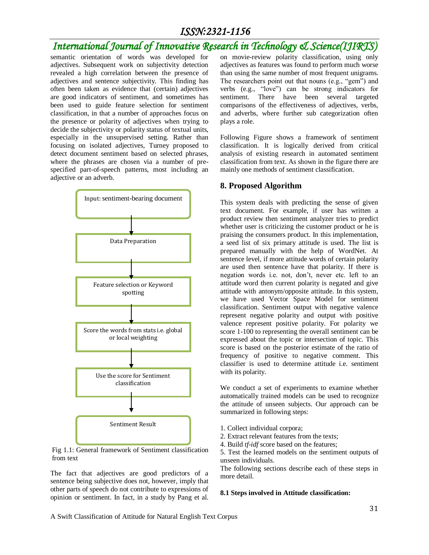## *International Journal of Innovative Research in Technology & Science(IJIRTS)*

semantic orientation of words was developed for adjectives. Subsequent work on subjectivity detection revealed a high correlation between the presence of adjectives and sentence subjectivity. This finding has often been taken as evidence that (certain) adjectives are good indicators of sentiment, and sometimes has been used to guide feature selection for sentiment classification, in that a number of approaches focus on the presence or polarity of adjectives when trying to decide the subjectivity or polarity status of textual units, especially in the unsupervised setting. Rather than focusing on isolated adjectives, Turney proposed to detect document sentiment based on selected phrases, where the phrases are chosen via a number of prespecified part-of-speech patterns, most including an adjective or an adverb.



Fig 1.1: General framework of Sentiment classification from text

The fact that adjectives are good predictors of a sentence being subjective does not, however, imply that other parts of speech do not contribute to expressions of opinion or sentiment. In fact, in a study by Pang et al.

on movie-review polarity classification, using only adjectives as features was found to perform much worse than using the same number of most frequent unigrams. The researchers point out that nouns (e.g., "gem") and verbs (e.g., "love") can be strong indicators for sentiment. There have been several targeted comparisons of the effectiveness of adjectives, verbs, and adverbs, where further sub categorization often plays a role.

Following Figure shows a framework of sentiment classification. It is logically derived from critical analysis of existing research in automated sentiment classification from text. As shown in the figure there are mainly one methods of sentiment classification.

#### **8. Proposed Algorithm**

This system deals with predicting the sense of given text document. For example, if user has written a product review then sentiment analyzer tries to predict whether user is criticizing the customer product or he is praising the consumers product. In this implementation, a seed list of six primary attitude is used. The list is prepared manually with the help of WordNet. At sentence level, if more attitude words of certain polarity are used then sentence have that polarity. If there is negation words i.e. not, don't, never etc. left to an attitude word then current polarity is negated and give attitude with antonym/opposite attitude. In this system, we have used Vector Space Model for sentiment classification. Sentiment output with negative valence represent negative polarity and output with positive valence represent positive polarity. For polarity we score 1-100 to representing the overall sentiment can be expressed about the topic or intersection of topic. This score is based on the posterior estimate of the ratio of frequency of positive to negative comment. This classifier is used to determine attitude i.e. sentiment with its polarity.

We conduct a set of experiments to examine whether automatically trained models can be used to recognize the attitude of unseen subjects. Our approach can be summarized in following steps:

- 1. Collect individual corpora;
- 2. Extract relevant features from the texts;
- 4. Build *tf-idf* score based on the features;

5. Test the learned models on the sentiment outputs of unseen individuals.

The following sections describe each of these steps in more detail.

#### **8.1 Steps involved in Attitude classification:**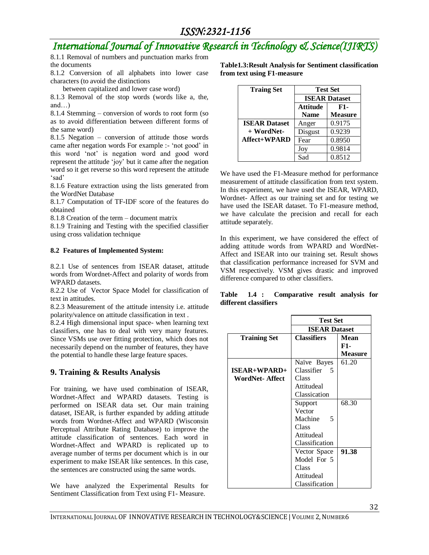# *International Journal of Innovative Research in Technology & Science(IJIRTS)*

8.1.1 Removal of numbers and punctuation marks from the documents

8.1.2 Conversion of all alphabets into lower case characters (to avoid the distinctions

between capitalized and lower case word)

8.1.3 Removal of the stop words (words like a, the, and…)

8.1.4 Stemming – conversion of words to root form (so as to avoid differentiation between different forms of the same word)

8.1.5 Negation – conversion of attitude those words came after negation words For example :- 'not good' in this word 'not' is negation word and good word represent the attitude 'joy' but it came after the negation word so it get reverse so this word represent the attitude 'sad'

8.1.6 Feature extraction using the lists generated from the WordNet Database

8.1.7 Computation of TF-IDF score of the features do obtained

8.1.8 Creation of the term – document matrix

8.1.9 Training and Testing with the specified classifier using cross validation technique

#### **8.2 Features of Implemented System:**

8.2.1 Use of sentences from ISEAR dataset, attitude words from Wordnet-Affect and polarity of words from WPARD datasets.

8.2.2 Use of Vector Space Model for classification of text in attitudes.

8.2.3 Measurement of the attitude intensity i.e. attitude polarity/valence on attitude classification in text .

8.2.4 High dimensional input space- when learning text classifiers, one has to deal with very many features. Since VSMs use over fitting protection, which does not necessarily depend on the number of features, they have the potential to handle these large feature spaces.

### **9. Training & Results Analysis**

For training, we have used combination of ISEAR, Wordnet-Affect and WPARD datasets. Testing is performed on ISEAR data set. Our main training dataset, ISEAR, is further expanded by adding attitude words from Wordnet-Affect and WPARD (Wisconsin Perceptual Attribute Rating Database) to improve the attitude classification of sentences. Each word in Wordnet-Affect and WPARD is replicated up to average number of terms per document which is in our experiment to make ISEAR like sentences. In this case, the sentences are constructed using the same words.

We have analyzed the Experimental Results for Sentiment Classification from Text using F1- Measure.

**Table1.3:Result Analysis for Sentiment classification from text using F1-measure**

| <b>Traing Set</b>    | <b>Test Set</b>      |                |
|----------------------|----------------------|----------------|
|                      | <b>ISEAR Dataset</b> |                |
|                      | <b>Attitude</b>      | F1-            |
|                      | <b>Name</b>          | <b>Measure</b> |
| <b>ISEAR Dataset</b> | Anger                | 0.9175         |
| + WordNet-           | Disgust              | 0.9239         |
| <b>Affect+WPARD</b>  | Fear                 | 0.8950         |
|                      | Joy                  | 0.9814         |
|                      | Sad                  | 0.8512         |

We have used the F1-Measure method for performance measurement of attitude classification from text system. In this experiment, we have used the ISEAR, WPARD, Wordnet- Affect as our training set and for testing we have used the ISEAR dataset. To F1-measure method, we have calculate the precision and recall for each attitude separately.

In this experiment, we have considered the effect of adding attitude words from WPARD and WordNet-Affect and ISEAR into our training set. Result shows that classification performance increased for SVM and VSM respectively. VSM gives drastic and improved difference compared to other classifiers.

**Table 1.4 : Comparative result analysis for different classifiers**

|                       | <b>Test Set</b>            |                |
|-----------------------|----------------------------|----------------|
|                       | <b>ISEAR Dataset</b>       |                |
| <b>Training Set</b>   | <b>Classifiers</b><br>Mean |                |
|                       |                            | F1-            |
|                       |                            | <b>Measure</b> |
|                       | Naïve Bayes                | 61.20          |
| $ISEAR+WPARD+$        | Classifier<br>5            |                |
| <b>WordNet-Affect</b> | Class                      |                |
|                       | Attitudeal                 |                |
|                       | Classication               |                |
|                       | Support                    | 68.30          |
|                       | Vector                     |                |
|                       | Machine<br>5               |                |
|                       | Class                      |                |
|                       | Attitudeal                 |                |
|                       | Classification             |                |
|                       | Vector Space               | 91.38          |
|                       | Model For 5                |                |
|                       | Class                      |                |
|                       | Attitudeal                 |                |
|                       | Classification             |                |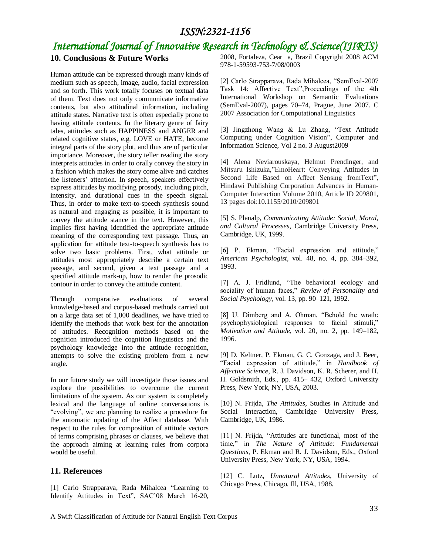# *International Journal of Innovative Research in Technology & Science(IJIRTS)*

## **10. Conclusions & Future Works**

Human attitude can be expressed through many kinds of medium such as speech, image, audio, facial expression and so forth. This work totally focuses on textual data of them. Text does not only communicate informative contents, but also attitudinal information, including attitude states. Narrative text is often especially prone to having attitude contents. In the literary genre of fairy tales, attitudes such as HAPPINESS and ANGER and related cognitive states, e.g. LOVE or HATE, become integral parts of the story plot, and thus are of particular importance. Moreover, the story teller reading the story interprets attitudes in order to orally convey the story in a fashion which makes the story come alive and catches the listeners' attention. In speech, speakers effectively express attitudes by modifying prosody, including pitch, intensity, and durational cues in the speech signal. Thus, in order to make text-to-speech synthesis sound as natural and engaging as possible, it is important to convey the attitude stance in the text. However, this implies first having identified the appropriate attitude meaning of the corresponding text passage. Thus, an application for attitude text-to-speech synthesis has to solve two basic problems. First, what attitude or attitudes most appropriately describe a certain text passage, and second, given a text passage and a specified attitude mark-up, how to render the prosodic contour in order to convey the attitude content.

Through comparative evaluations of several knowledge-based and corpus-based methods carried out on a large data set of 1,000 deadlines, we have tried to identify the methods that work best for the annotation of attitudes. Recognition methods based on the cognition introduced the cognition linguistics and the psychology knowledge into the attitude recognition, attempts to solve the existing problem from a new angle.

In our future study we will investigate those issues and explore the possibilities to overcome the current limitations of the system. As our system is completely lexical and the language of online conversations is "evolving", we are planning to realize a procedure for the automatic updating of the Affect database. With respect to the rules for composition of attitude vectors of terms comprising phrases or clauses, we believe that the approach aiming at learning rules from corpora would be useful.

#### **11. References**

[1] Carlo Strapparava, Rada Mihalcea "Learning to Identify Attitudes in Text", SAC'08 March 16-20, 2008, Fortaleza, Cear a, Brazil Copyright 2008 ACM 978-1-59593-753-7/08/0003

[2] Carlo Strapparava, Rada Mihalcea, "SemEval-2007 Task 14: Affective Text",Proceedings of the 4th International Workshop on Semantic Evaluations (SemEval-2007), pages 70–74, Prague, June 2007. C 2007 Association for Computational Linguistics

[3] Jingzhong Wang & Lu Zhang, "Text Attitude Computing under Cognition Vision", Computer and Information Science, Vol 2 no. 3 August2009

[4] Alena Neviarouskaya, Helmut Prendinger, and Mitsuru Ishizuka,"EmoHeart: Conveying Attitudes in Second Life Based on Affect Sensing fromText", Hindawi Publishing Corporation Advances in Human-Computer Interaction Volume 2010, Article ID 209801, 13 pages doi:10.1155/2010/209801

[5] S. Planalp, *Communicating Attitude: Social, Moral, and Cultural Processes*, Cambridge University Press, Cambridge, UK, 1999.

[6] P. Ekman, "Facial expression and attitude," *American Psychologist*, vol. 48, no. 4, pp. 384–392, 1993.

[7] A. J. Fridlund, "The behavioral ecology and sociality of human faces," *Review of Personality and Social Psychology*, vol. 13, pp. 90–121, 1992.

[8] U. Dimberg and A. Ohman, "Behold the wrath: psychophysiological responses to facial stimuli," *Motivation and Attitude*, vol. 20, no. 2, pp. 149–182, 1996.

[9] D. Keltner, P. Ekman, G. C. Gonzaga, and J. Beer, "Facial expression of attitude," in *Handbook of Affective Science*, R. J. Davidson, K. R. Scherer, and H. H. Goldsmith, Eds., pp. 415– 432, Oxford University Press, New York, NY, USA, 2003.

[10] N. Frijda, *The Attitudes*, Studies in Attitude and Social Interaction, Cambridge University Press, Cambridge, UK, 1986.

[11] N. Frijda, "Attitudes are functional, most of the time," in *The Nature of Attitude: Fundamental Questions*, P. Ekman and R. J. Davidson, Eds., Oxford University Press, New York, NY, USA, 1994.

[12] C. Lutz, *Unnatural Attitudes*, University of Chicago Press, Chicago, Ill, USA, 1988.